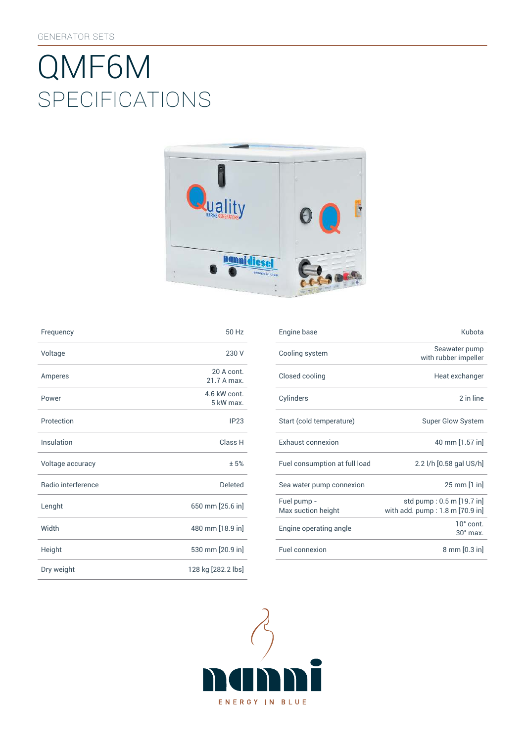# SpEcificATiONS QMF6M



| Frequency          | 50 Hz                     | Engine base                |
|--------------------|---------------------------|----------------------------|
| Voltage            | 230 V                     | Cooling syst               |
| Amperes            | 20 A cont.<br>21.7 A max. | Closed cooli               |
| Power              | 4.6 kW cont.<br>5 kW max. | Cylinders                  |
| Protection         | IP23                      | Start (cold te             |
| Insulation         | Class H                   | Exhaust con                |
| Voltage accuracy   | ±5%                       | Fuel consum                |
| Radio interference | <b>Deleted</b>            | Sea water pu               |
| Lenght             | 650 mm [25.6 in]          | Fuel pump -<br>Max suction |
| Width              | 480 mm [18.9 in]          | Engine opera               |
| Height             | 530 mm [20.9 in]          | Fuel connexi               |
| Dry weight         | 128 kg [282.2 lbs]        |                            |

| Frequency          | 50 Hz                     | Engine base                       | Kubota                                                       |
|--------------------|---------------------------|-----------------------------------|--------------------------------------------------------------|
| Voltage            | 230 V                     | Cooling system                    | Seawater pump<br>with rubber impeller                        |
| Amperes            | 20 A cont.<br>21.7 A max. | Closed cooling                    | Heat exchanger                                               |
| Power              | 4.6 kW cont.<br>5 kW max. | Cylinders                         | 2 in line                                                    |
| Protection         | IP23                      | Start (cold temperature)          | <b>Super Glow System</b>                                     |
| <b>Insulation</b>  | Class H                   | Exhaust connexion                 | 40 mm [1.57 in]                                              |
| Voltage accuracy   | ± 5%                      | Fuel consumption at full load     | 2.2 l/h [0.58 gal US/h]                                      |
| Radio interference | <b>Deleted</b>            | Sea water pump connexion          | $25 \, \text{mm}$ [1 in]                                     |
| Lenght             | 650 mm [25.6 in]          | Fuel pump -<br>Max suction height | std pump: 0.5 m [19.7 in]<br>with add. pump: 1.8 m [70.9 in] |
| Width              | 480 mm [18.9 in]          | Engine operating angle            | $10^{\circ}$ cont.<br>$30^\circ$ max.                        |
| Height             | 530 mm [20.9 in]          | Fuel connexion                    | 8 mm [0.3 in]                                                |